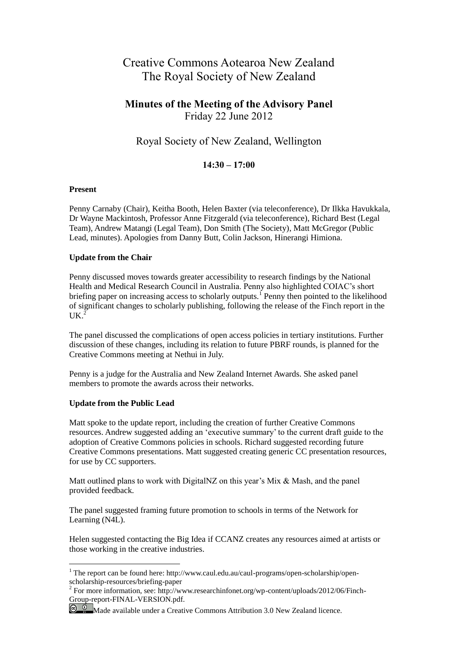# Creative Commons Aotearoa New Zealand The Royal Society of New Zealand

### **Minutes of the Meeting of the Advisory Panel** Friday 22 June 2012

## Royal Society of New Zealand, Wellington

### **14:30 – 17:00**

#### **Present**

Penny Carnaby (Chair), Keitha Booth, Helen Baxter (via teleconference), Dr Ilkka Havukkala, Dr Wayne Mackintosh, Professor Anne Fitzgerald (via teleconference), Richard Best (Legal Team), Andrew Matangi (Legal Team), Don Smith (The Society), Matt McGregor (Public Lead, minutes). Apologies from Danny Butt, Colin Jackson, Hinerangi Himiona.

#### **Update from the Chair**

Penny discussed moves towards greater accessibility to research findings by the National Health and Medical Research Council in Australia. Penny also highlighted COIAC's short briefing paper on increasing access to scholarly outputs.<sup>1</sup> Penny then pointed to the likelihood of significant changes to scholarly publishing, following the release of the Finch report in the  $UK<sup>2</sup>$ 

The panel discussed the complications of open access policies in tertiary institutions. Further discussion of these changes, including its relation to future PBRF rounds, is planned for the Creative Commons meeting at Nethui in July.

Penny is a judge for the Australia and New Zealand Internet Awards. She asked panel members to promote the awards across their networks.

#### **Update from the Public Lead**

 $\overline{a}$ 

Matt spoke to the update report, including the creation of further Creative Commons resources. Andrew suggested adding an 'executive summary' to the current draft guide to the adoption of Creative Commons policies in schools. Richard suggested recording future Creative Commons presentations. Matt suggested creating generic CC presentation resources, for use by CC supporters.

Matt outlined plans to work with DigitalNZ on this year's Mix & Mash, and the panel provided feedback.

The panel suggested framing future promotion to schools in terms of the Network for Learning (N4L).

Helen suggested contacting the Big Idea if CCANZ creates any resources aimed at artists or those working in the creative industries.

<sup>&</sup>lt;sup>1</sup> The report can be found here: http://www.caul.edu.au/caul-programs/open-scholarship/openscholarship-resources/briefing-paper<br><sup>2</sup> For more information, see: http://www.researchinfonet.org/wp-content/uploads/2012/06/Finch-

Group-report-FINAL-VERSION.pdf.

 $\bigcirc$   $\bigcirc$  Made available under a Creative Commons Attribution 3.0 New Zealand licence.